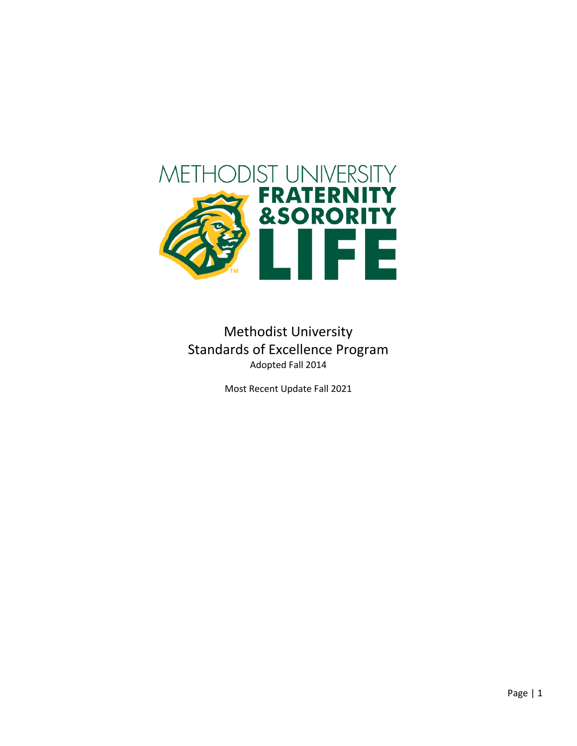

### Methodist University Standards of Excellence Program Adopted Fall 2014

Most Recent Update Fall 2021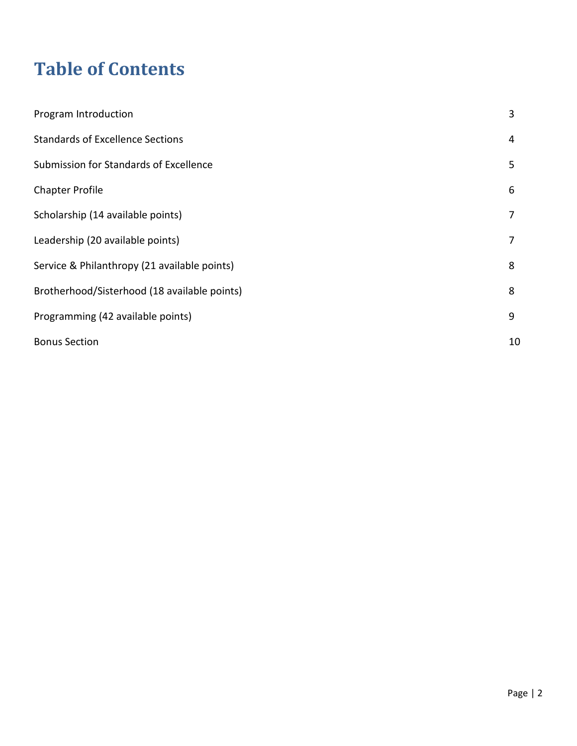# **Table of Contents**

| 3  |
|----|
| 4  |
| 5  |
| 6  |
| 7  |
| 7  |
| 8  |
| 8  |
| 9  |
| 10 |
|    |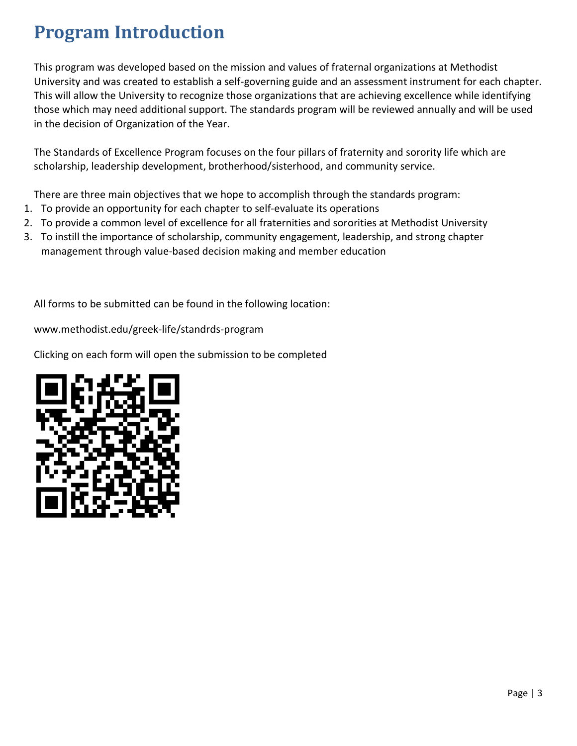# **Program Introduction**

This program was developed based on the mission and values of fraternal organizations at Methodist University and was created to establish a self-governing guide and an assessment instrument for each chapter. This will allow the University to recognize those organizations that are achieving excellence while identifying those which may need additional support. The standards program will be reviewed annually and will be used in the decision of Organization of the Year.

The Standards of Excellence Program focuses on the four pillars of fraternity and sorority life which are scholarship, leadership development, brotherhood/sisterhood, and community service.

There are three main objectives that we hope to accomplish through the standards program:

- 1. To provide an opportunity for each chapter to self-evaluate its operations
- 2. To provide a common level of excellence for all fraternities and sororities at Methodist University
- 3. To instill the importance of scholarship, community engagement, leadership, and strong chapter management through value-based decision making and member education

All forms to be submitted can be found in the following location:

[www.methodist.edu/greek-life/standrds-program](http://www.methodist.edu/greek-life/standrds-program)

Clicking on each form will open the submission to be completed

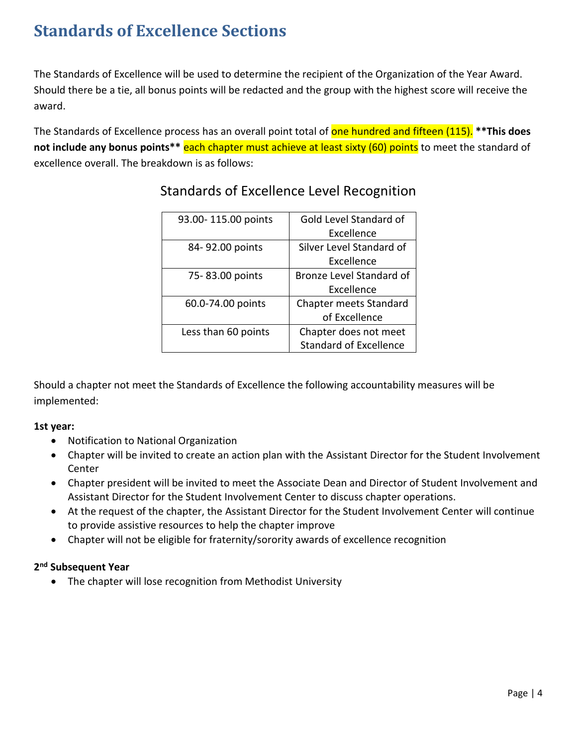### **Standards of Excellence Sections**

The Standards of Excellence will be used to determine the recipient of the Organization of the Year Award. Should there be a tie, all bonus points will be redacted and the group with the highest score will receive the award.

The Standards of Excellence process has an overall point total of one hundred and fifteen (115). **\*\*This does**  not include any bonus points<sup>\*\*</sup> each chapter must achieve at least sixty (60) points to meet the standard of excellence overall. The breakdown is as follows:

| 93.00-115.00 points | Gold Level Standard of        |
|---------------------|-------------------------------|
|                     | Excellence                    |
| 84-92.00 points     | Silver Level Standard of      |
|                     | Excellence                    |
| 75-83.00 points     | Bronze Level Standard of      |
|                     | Excellence                    |
| 60.0-74.00 points   | <b>Chapter meets Standard</b> |
|                     | of Excellence                 |
| Less than 60 points | Chapter does not meet         |
|                     | <b>Standard of Excellence</b> |

### Standards of Excellence Level Recognition

Should a chapter not meet the Standards of Excellence the following accountability measures will be implemented:

#### **1st year:**

- Notification to National Organization
- Chapter will be invited to create an action plan with the Assistant Director for the Student Involvement Center
- Chapter president will be invited to meet the Associate Dean and Director of Student Involvement and Assistant Director for the Student Involvement Center to discuss chapter operations.
- At the request of the chapter, the Assistant Director for the Student Involvement Center will continue to provide assistive resources to help the chapter improve
- Chapter will not be eligible for fraternity/sorority awards of excellence recognition

#### **2 nd Subsequent Year**

• The chapter will lose recognition from Methodist University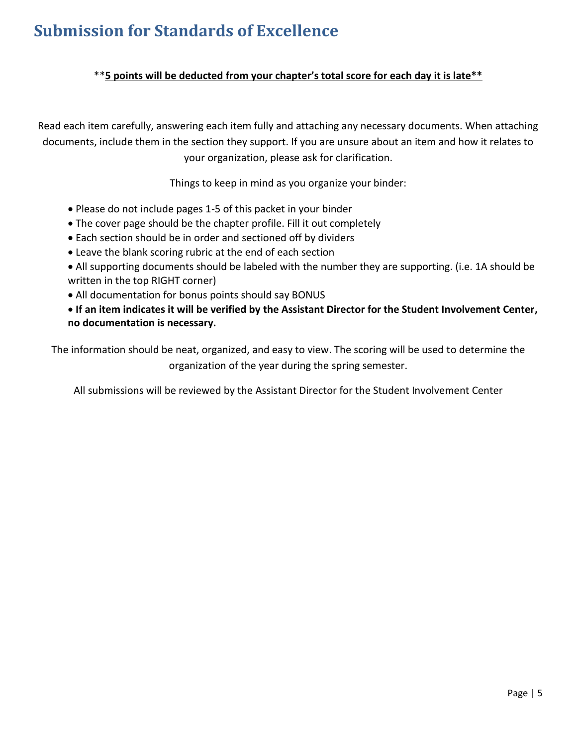## **Submission for Standards of Excellence**

#### \*\***5 points will be deducted from your chapter's total score for each day it is late\*\***

Read each item carefully, answering each item fully and attaching any necessary documents. When attaching documents, include them in the section they support. If you are unsure about an item and how it relates to your organization, please ask for clarification.

Things to keep in mind as you organize your binder:

- Please do not include pages 1-5 of this packet in your binder
- The cover page should be the chapter profile. Fill it out completely
- Each section should be in order and sectioned off by dividers
- Leave the blank scoring rubric at the end of each section
- All supporting documents should be labeled with the number they are supporting. (i.e. 1A should be written in the top RIGHT corner)
- All documentation for bonus points should say BONUS
- **If an item indicates it will be verified by the Assistant Director for the Student Involvement Center, no documentation is necessary.**

The information should be neat, organized, and easy to view. The scoring will be used to determine the organization of the year during the spring semester.

All submissions will be reviewed by the Assistant Director for the Student Involvement Center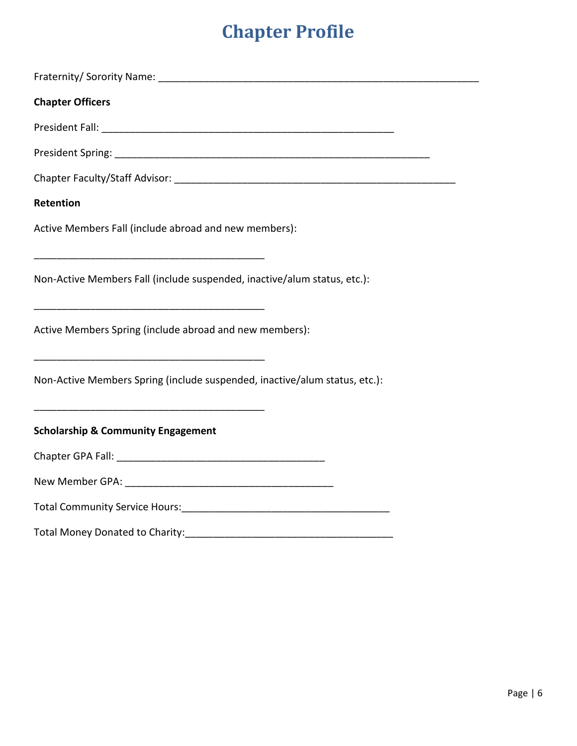# **Chapter Profile**

| <b>Chapter Officers</b>                                                                                                    |
|----------------------------------------------------------------------------------------------------------------------------|
|                                                                                                                            |
|                                                                                                                            |
|                                                                                                                            |
| Retention                                                                                                                  |
| Active Members Fall (include abroad and new members):<br><u> 1989 - Johann Barbara, margaret eta idazlearia (h. 1989).</u> |
| Non-Active Members Fall (include suspended, inactive/alum status, etc.):                                                   |
| Active Members Spring (include abroad and new members):                                                                    |
| Non-Active Members Spring (include suspended, inactive/alum status, etc.):                                                 |
| <b>Scholarship &amp; Community Engagement</b>                                                                              |
|                                                                                                                            |
|                                                                                                                            |
|                                                                                                                            |
|                                                                                                                            |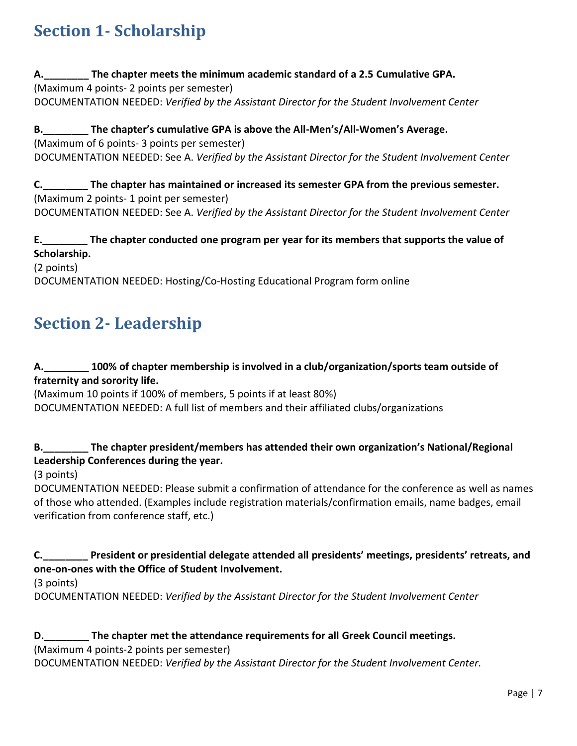### **Section 1- Scholarship**

**A.\_\_\_\_\_\_\_\_ The chapter meets the minimum academic standard of a 2.5 Cumulative GPA.**  (Maximum 4 points- 2 points per semester) DOCUMENTATION NEEDED: *Verified by the Assistant Director for the Student Involvement Center*

**B.\_\_\_\_\_\_\_\_ The chapter's cumulative GPA is above the All-Men's/All-Women's Average.**  (Maximum of 6 points- 3 points per semester) DOCUMENTATION NEEDED: See A. *Verified by the Assistant Director for the Student Involvement Center*

**C.\_\_\_\_\_\_\_\_ The chapter has maintained or increased its semester GPA from the previous semester.** (Maximum 2 points- 1 point per semester) DOCUMENTATION NEEDED: See A. *Verified by the Assistant Director for the Student Involvement Center*

**E.\_\_\_\_\_\_\_\_ The chapter conducted one program per year for its members that supports the value of Scholarship.**

(2 points)

DOCUMENTATION NEEDED: Hosting/Co-Hosting Educational Program form online

### **Section 2- Leadership**

#### **A.\_\_\_\_\_\_\_\_ 100% of chapter membership is involved in a club/organization/sports team outside of fraternity and sorority life.**

(Maximum 10 points if 100% of members, 5 points if at least 80%)

DOCUMENTATION NEEDED: A full list of members and their affiliated clubs/organizations

#### **B.\_\_\_\_\_\_\_\_ The chapter president/members has attended their own organization's National/Regional Leadership Conferences during the year.**

(3 points)

DOCUMENTATION NEEDED: Please submit a confirmation of attendance for the conference as well as names of those who attended. (Examples include registration materials/confirmation emails, name badges, email verification from conference staff, etc.)

#### **C.\_\_\_\_\_\_\_\_ President or presidential delegate attended all presidents' meetings, presidents' retreats, and one-on-ones with the Office of Student Involvement.**

(3 points)

DOCUMENTATION NEEDED: *Verified by the Assistant Director for the Student Involvement Center*

#### **D.\_\_\_\_\_\_\_\_ The chapter met the attendance requirements for all Greek Council meetings.**

(Maximum 4 points-2 points per semester)

DOCUMENTATION NEEDED: *Verified by the Assistant Director for the Student Involvement Center.*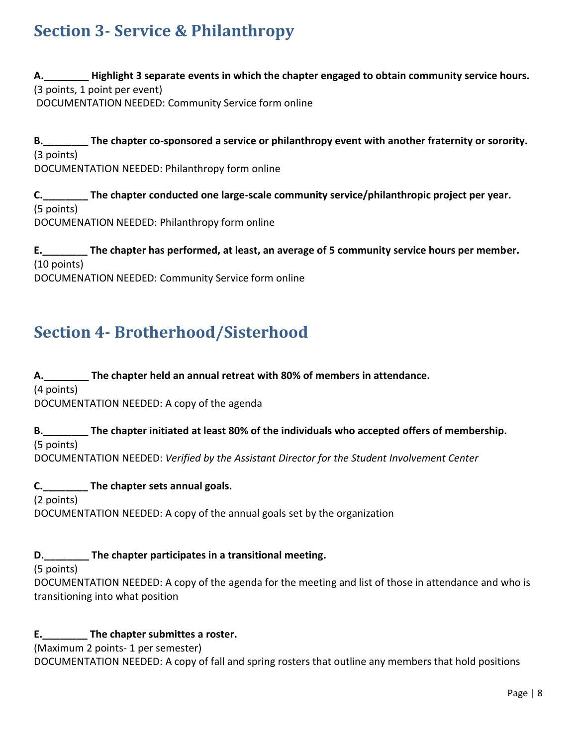### **Section 3- Service & Philanthropy**

**A.\_\_\_\_\_\_\_\_ Highlight 3 separate events in which the chapter engaged to obtain community service hours.** (3 points, 1 point per event) DOCUMENTATION NEEDED: Community Service form online

**B.\_\_\_\_\_\_\_\_ The chapter co-sponsored a service or philanthropy event with another fraternity or sorority.**  (3 points) DOCUMENTATION NEEDED: Philanthropy form online

**C.\_\_\_\_\_\_\_\_ The chapter conducted one large-scale community service/philanthropic project per year.**  (5 points) DOCUMENATION NEEDED: Philanthropy form online

**E.\_\_\_\_\_\_\_\_ The chapter has performed, at least, an average of 5 community service hours per member.** (10 points) DOCUMENATION NEEDED: Community Service form online

## **Section 4- Brotherhood/Sisterhood**

**A.\_\_\_\_\_\_\_\_ The chapter held an annual retreat with 80% of members in attendance.**  (4 points) DOCUMENTATION NEEDED: A copy of the agenda

**B.\_\_\_\_\_\_\_\_ The chapter initiated at least 80% of the individuals who accepted offers of membership.**  (5 points)

DOCUMENTATION NEEDED: *Verified by the Assistant Director for the Student Involvement Center*

**C.\_\_\_\_\_\_\_\_ The chapter sets annual goals.**  (2 points) DOCUMENTATION NEEDED: A copy of the annual goals set by the organization

#### **D.\_\_\_\_\_\_\_\_ The chapter participates in a transitional meeting.**

(5 points)

DOCUMENTATION NEEDED: A copy of the agenda for the meeting and list of those in attendance and who is transitioning into what position

#### **E.\_\_\_\_\_\_\_\_ The chapter submittes a roster.**

(Maximum 2 points- 1 per semester)

DOCUMENTATION NEEDED: A copy of fall and spring rosters that outline any members that hold positions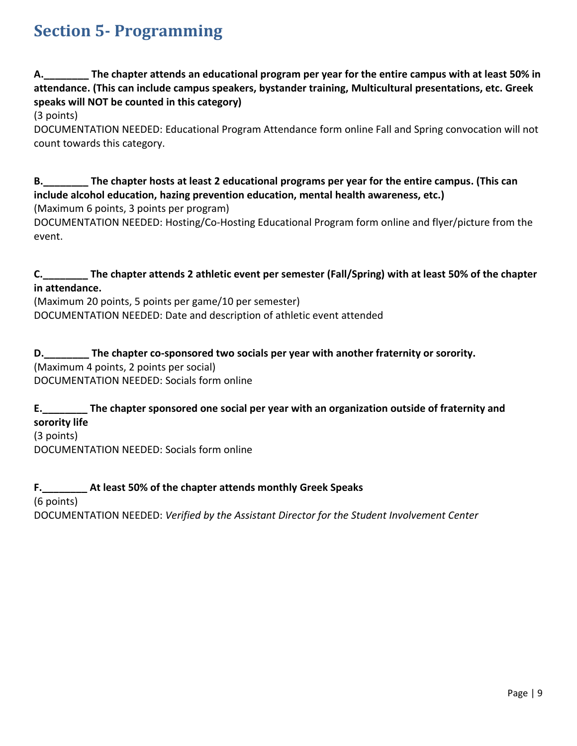### **Section 5- Programming**

#### **A.\_\_\_\_\_\_\_\_ The chapter attends an educational program per year for the entire campus with at least 50% in attendance. (This can include campus speakers, bystander training, Multicultural presentations, etc. Greek speaks will NOT be counted in this category)**

(3 points)

DOCUMENTATION NEEDED: Educational Program Attendance form online Fall and Spring convocation will not count towards this category.

#### **B.\_\_\_\_\_\_\_\_ The chapter hosts at least 2 educational programs per year for the entire campus. (This can include alcohol education, hazing prevention education, mental health awareness, etc.)**

(Maximum 6 points, 3 points per program)

DOCUMENTATION NEEDED: Hosting/Co-Hosting Educational Program form online and flyer/picture from the event.

#### **C.\_\_\_\_\_\_\_\_ The chapter attends 2 athletic event per semester (Fall/Spring) with at least 50% of the chapter in attendance.**

(Maximum 20 points, 5 points per game/10 per semester) DOCUMENTATION NEEDED: Date and description of athletic event attended

#### **D.\_\_\_\_\_\_\_\_ The chapter co-sponsored two socials per year with another fraternity or sorority.**

(Maximum 4 points, 2 points per social) DOCUMENTATION NEEDED: Socials form online

#### **E.\_\_\_\_\_\_\_\_ The chapter sponsored one social per year with an organization outside of fraternity and sorority life**

(3 points) DOCUMENTATION NEEDED: Socials form online

#### **F.\_\_\_\_\_\_\_\_ At least 50% of the chapter attends monthly Greek Speaks**

(6 points)

DOCUMENTATION NEEDED: *Verified by the Assistant Director for the Student Involvement Center*